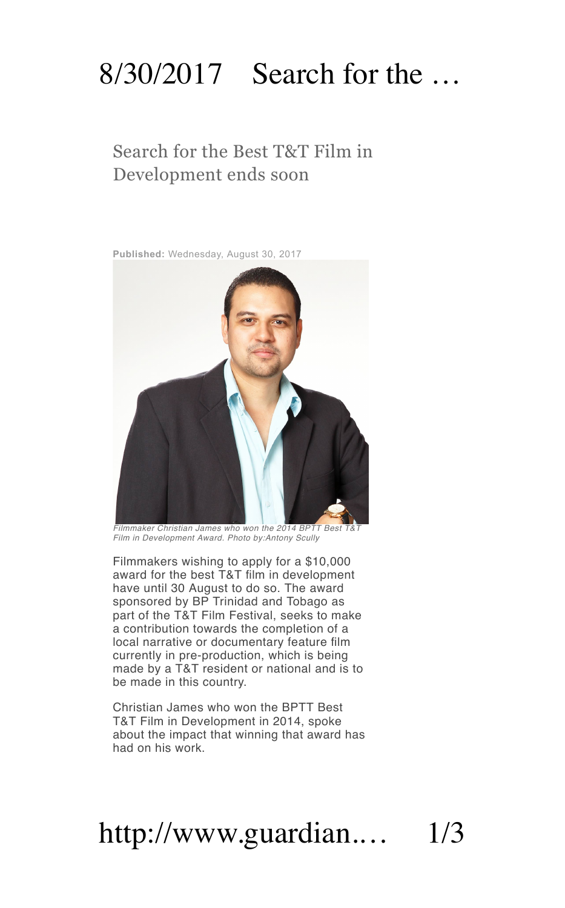#### 8/30/2017 Search for the …

# Search for the Best T&T Film in<br>Development ends soon

**Published:** Wednesday, August 30, 2017



*Filmmaker Christian James who won the 2014 BPTT Best T&T Film inDevelopment Award. Photo by:Antony Scully*

Filmmakers wishing to apply for a \$10,000 award for the best T&T film in development have until 30 August to do so. The award sponsored by BP Trinidad and Tobago as part of the T&T Film Festival, seeks to make a contribution towards the completion of a local narrative or documentary feature film currently in pre-production, which is being made by a T&T resident or national and is to be made in this country.

Christian James who won the BPTT Best T&T Film inDevelopment in 2014, spoke about the impact that winning that award has had on his work.

# http://www.guardian.… 1/3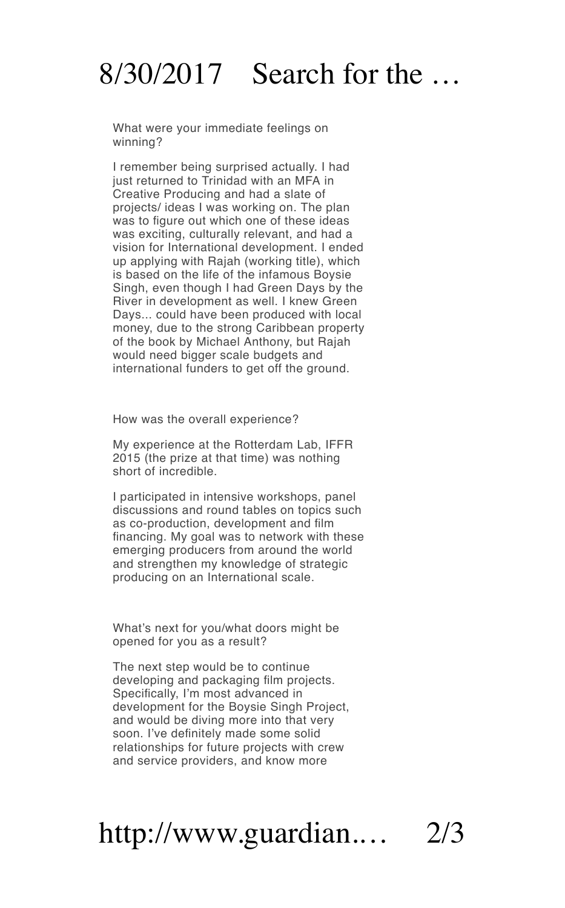#### $8/30/2017$  Search for the

What were your immediate feelings on winning?

I remember being surprised actually. I had just returned to Trinidad with an MFA in projects/ ideas I was working on. The plan was to figure out which one of these ideas was exciting, culturally relevant, and had a vision for International development. I ended up applying with Rajah (working title), which is based on the life of the infamous Boysie Singh, even though I had Green Days by the River in development as well. I knew Green Days... could have been produced with local money, due to the strong Caribbean property of the book by Michael Anthony, but Rajah would need bigger scale budgets and international funders to get off the ground.

How was the overall experience?

My experience atthe Rotterdam Lab, IFFR 2015 (the prize at that time) was nothing short of incredible.

I participated in intensive workshops, panel discussions and round tables on topics such as co-production, development and film financing. My goal was to network with these emerging producers from around the world and strengthen my knowledge of strategic producing on an International scale.

What's next for you/what doors might be opened for you as a result?

The next step would be to continue developing and packaging film projects. Specifically, I'm most advanced in development for the Boysie Singh Project, and would be diving more into that very soon. I've definitely made some solid relationships for future projects with crew and service providers, and know more

### http://www.guardian.… 2/3